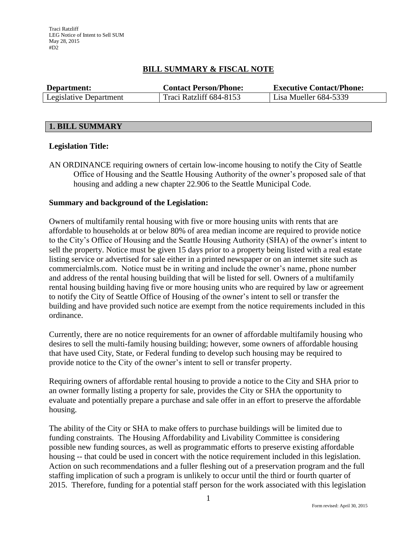# **BILL SUMMARY & FISCAL NOTE**

| Department:            | <b>Contact Person/Phone:</b> | <b>Executive Contact/Phone:</b> |  |  |
|------------------------|------------------------------|---------------------------------|--|--|
| Legislative Department | Traci Ratzliff 684-8153      | Lisa Mueller 684-5339           |  |  |

## **1. BILL SUMMARY**

## **Legislation Title:**

AN ORDINANCE requiring owners of certain low-income housing to notify the City of Seattle Office of Housing and the Seattle Housing Authority of the owner's proposed sale of that housing and adding a new chapter 22.906 to the Seattle Municipal Code.

## **Summary and background of the Legislation:**

Owners of multifamily rental housing with five or more housing units with rents that are affordable to households at or below 80% of area median income are required to provide notice to the City's Office of Housing and the Seattle Housing Authority (SHA) of the owner's intent to sell the property. Notice must be given 15 days prior to a property being listed with a real estate listing service or advertised for sale either in a printed newspaper or on an internet site such as commercialmls.com. Notice must be in writing and include the owner's name, phone number and address of the rental housing building that will be listed for sell. Owners of a multifamily rental housing building having five or more housing units who are required by law or agreement to notify the City of Seattle Office of Housing of the owner's intent to sell or transfer the building and have provided such notice are exempt from the notice requirements included in this ordinance.

Currently, there are no notice requirements for an owner of affordable multifamily housing who desires to sell the multi-family housing building; however, some owners of affordable housing that have used City, State, or Federal funding to develop such housing may be required to provide notice to the City of the owner's intent to sell or transfer property.

Requiring owners of affordable rental housing to provide a notice to the City and SHA prior to an owner formally listing a property for sale, provides the City or SHA the opportunity to evaluate and potentially prepare a purchase and sale offer in an effort to preserve the affordable housing.

The ability of the City or SHA to make offers to purchase buildings will be limited due to funding constraints. The Housing Affordability and Livability Committee is considering possible new funding sources, as well as programmatic efforts to preserve existing affordable housing -- that could be used in concert with the notice requirement included in this legislation. Action on such recommendations and a fuller fleshing out of a preservation program and the full staffing implication of such a program is unlikely to occur until the third or fourth quarter of 2015. Therefore, funding for a potential staff person for the work associated with this legislation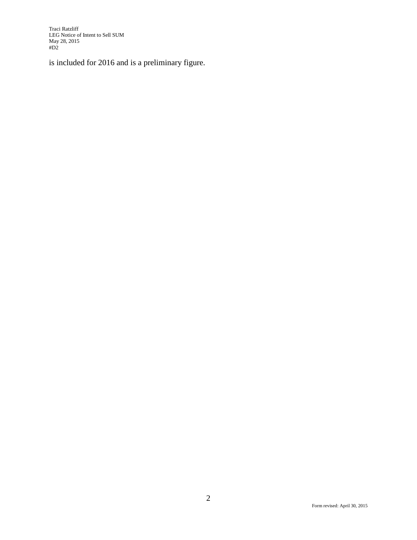Traci Ratzliff LEG Notice of Intent to Sell SUM May 28, 2015 #D2

is included for 2016 and is a preliminary figure.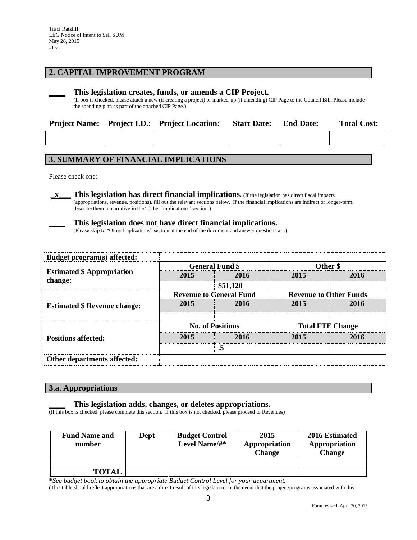## **2. CAPITAL IMPROVEMENT PROGRAM**

### **\_\_\_\_ This legislation creates, funds, or amends a CIP Project.**

(If box is checked, please attach a new (if creating a project) or marked-up (if amending) CIP Page to the Council Bill. Please include the spending plan as part of the attached CIP Page.)

|  | <b>Project Name:</b> Project I.D.: Project Location: Start Date: | <b>End Date:</b> | <b>Total Cost:</b> |  |
|--|------------------------------------------------------------------|------------------|--------------------|--|
|  |                                                                  |                  |                    |  |

## **3. SUMMARY OF FINANCIAL IMPLICATIONS**

Please check one:

**\_x\_\_\_ This legislation has direct financial implications***.* (If the legislation has direct fiscal impacts (appropriations, revenue, positions), fill out the relevant sections below. If the financial implications are indirect or longer-term, describe them in narrative in the "Other Implications" section.)

#### **\_\_\_\_ This legislation does not have direct financial implications.**

(Please skip to "Other Implications" section at the end of the document and answer questions a-i.)

| Budget program(s) affected:         |                         |                                |                               |      |  |
|-------------------------------------|-------------------------|--------------------------------|-------------------------------|------|--|
|                                     |                         | <b>General Fund \$</b>         | Other \$                      |      |  |
| <b>Estimated \$ Appropriation</b>   | 2015                    | 2016                           | 2015                          | 2016 |  |
| change:                             |                         | \$51,120                       |                               |      |  |
|                                     |                         | <b>Revenue to General Fund</b> | <b>Revenue to Other Funds</b> |      |  |
| <b>Estimated \$ Revenue change:</b> | 2015                    | 2016<br>2015                   |                               | 2016 |  |
|                                     | <b>No. of Positions</b> |                                | <b>Total FTE Change</b>       |      |  |
| <b>Positions affected:</b>          | 2015                    | 2016                           | 2015                          | 2016 |  |
|                                     |                         | .5                             |                               |      |  |
| Other departments affected:         |                         |                                |                               |      |  |

#### **3.a. Appropriations**

### **\_\_\_\_ This legislation adds, changes, or deletes appropriations.**

(If this box is checked, please complete this section. If this box is not checked, please proceed to Revenues)

| <b>Fund Name and</b><br>number | Dept | <b>Budget Control</b><br>Level Name/#* | 2015<br>Appropriation<br><b>Change</b> | 2016 Estimated<br>Appropriation<br><b>Change</b> |
|--------------------------------|------|----------------------------------------|----------------------------------------|--------------------------------------------------|
|                                |      |                                        |                                        |                                                  |
| <b>TOTAL</b>                   |      |                                        |                                        |                                                  |

**\****See budget book to obtain the appropriate Budget Control Level for your department.*

(This table should reflect appropriations that are a direct result of this legislation. In the event that the project/programs associated with this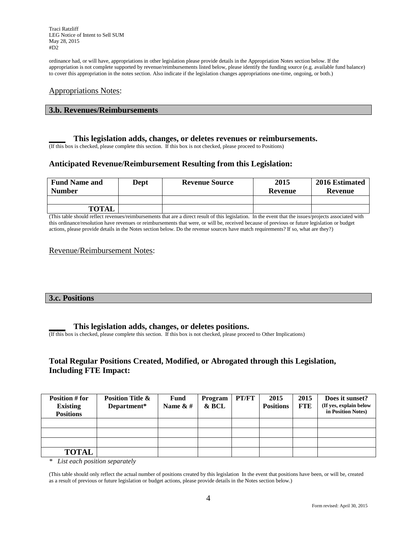Traci Ratzliff LEG Notice of Intent to Sell SUM May 28, 2015 #D2

ordinance had, or will have, appropriations in other legislation please provide details in the Appropriation Notes section below. If the appropriation is not complete supported by revenue/reimbursements listed below, please identify the funding source (e.g. available fund balance) to cover this appropriation in the notes section. Also indicate if the legislation changes appropriations one-time, ongoing, or both.)

### Appropriations Notes:

#### **3.b. Revenues/Reimbursements**

### **\_\_\_\_ This legislation adds, changes, or deletes revenues or reimbursements.**

(If this box is checked, please complete this section. If this box is not checked, please proceed to Positions)

## **Anticipated Revenue/Reimbursement Resulting from this Legislation:**

| <b>Fund Name and</b><br><b>Number</b> | Dept | <b>Revenue Source</b> | 2015<br>Revenue | 2016 Estimated<br>Revenue |
|---------------------------------------|------|-----------------------|-----------------|---------------------------|
|                                       |      |                       |                 |                           |
| <b>TOTAL</b>                          |      |                       |                 |                           |

(This table should reflect revenues/reimbursements that are a direct result of this legislation. In the event that the issues/projects associated with this ordinance/resolution have revenues or reimbursements that were, or will be, received because of previous or future legislation or budget actions, please provide details in the Notes section below. Do the revenue sources have match requirements? If so, what are they?)

### Revenue/Reimbursement Notes:

### **3.c. Positions**

#### **\_\_\_\_ This legislation adds, changes, or deletes positions.**

(If this box is checked, please complete this section. If this box is not checked, please proceed to Other Implications)

## **Total Regular Positions Created, Modified, or Abrogated through this Legislation, Including FTE Impact:**

| Position # for<br><b>Existing</b><br><b>Positions</b> | <b>Position Title &amp;</b><br>Department* | Fund<br>Name $\&$ # | Program<br>& BCL | PT/FT | 2015<br><b>Positions</b> | 2015<br><b>FTE</b> | Does it sunset?<br>(If yes, explain below<br>in Position Notes) |
|-------------------------------------------------------|--------------------------------------------|---------------------|------------------|-------|--------------------------|--------------------|-----------------------------------------------------------------|
|                                                       |                                            |                     |                  |       |                          |                    |                                                                 |
|                                                       |                                            |                     |                  |       |                          |                    |                                                                 |
|                                                       |                                            |                     |                  |       |                          |                    |                                                                 |
| <b>TOTAL</b>                                          |                                            |                     |                  |       |                          |                    |                                                                 |

*\* List each position separately*

(This table should only reflect the actual number of positions created by this legislation In the event that positions have been, or will be, created as a result of previous or future legislation or budget actions, please provide details in the Notes section below.)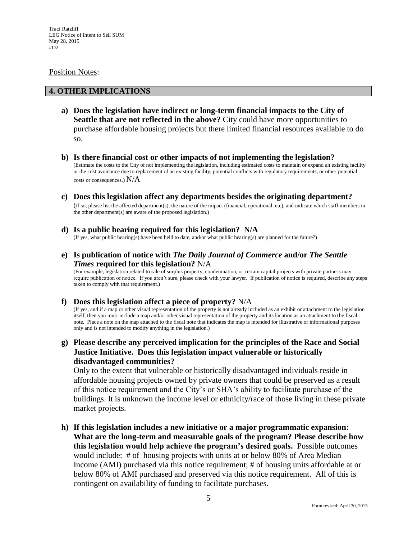### Position Notes:

### **4. OTHER IMPLICATIONS**

- **a) Does the legislation have indirect or long-term financial impacts to the City of Seattle that are not reflected in the above?** City could have more opportunities to purchase affordable housing projects but there limited financial resources available to do so.
- **b) Is there financial cost or other impacts of not implementing the legislation?** (Estimate the costs to the City of not implementing the legislation, including estimated costs to maintain or expand an existing facility or the cost avoidance due to replacement of an existing facility, potential conflicts with regulatory requirements, or other potential costs or consequences.) N/A
- **c) Does this legislation affect any departments besides the originating department?**  (If so, please list the affected department(s), the nature of the impact (financial, operational, etc), and indicate which staff members in the other department(s) are aware of the proposed legislation.)
- **d) Is a public hearing required for this legislation? N/A** (If yes, what public hearing(s) have been held to date, and/or what public hearing(s) are planned for the future?)
- **e) Is publication of notice with** *The Daily Journal of Commerce* **and/or** *The Seattle Times* **required for this legislation?** N/A

(For example, legislation related to sale of surplus property, condemnation, or certain capital projects with private partners may require publication of notice. If you aren't sure, please check with your lawyer. If publication of notice is required, describe any steps taken to comply with that requirement.)

**f) Does this legislation affect a piece of property?** N/A

(If yes, and if a map or other visual representation of the property is not already included as an exhibit or attachment to the legislation itself, then you must include a map and/or other visual representation of the property and its location as an attachment to the fiscal note. Place a note on the map attached to the fiscal note that indicates the map is intended for illustrative or informational purposes only and is not intended to modify anything in the legislation.)

**g) Please describe any perceived implication for the principles of the Race and Social Justice Initiative. Does this legislation impact vulnerable or historically disadvantaged communities?**

Only to the extent that vulnerable or historically disadvantaged individuals reside in affordable housing projects owned by private owners that could be preserved as a result of this notice requirement and the City's or SHA's ability to facilitate purchase of the buildings. It is unknown the income level or ethnicity/race of those living in these private market projects.

**h) If this legislation includes a new initiative or a major programmatic expansion: What are the long-term and measurable goals of the program? Please describe how this legislation would help achieve the program's desired goals.** Possible outcomes would include: # of housing projects with units at or below 80% of Area Median Income (AMI) purchased via this notice requirement; # of housing units affordable at or below 80% of AMI purchased and preserved via this notice requirement. All of this is contingent on availability of funding to facilitate purchases.